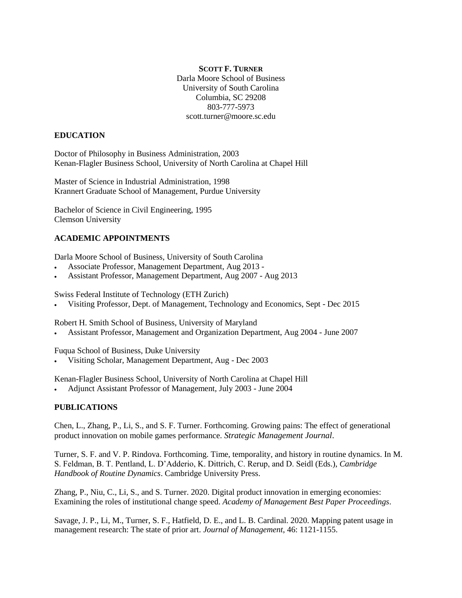#### **SCOTT F. TURNER**

Darla Moore School of Business University of South Carolina Columbia, SC 29208 803-777-5973 scott.turner@moore.sc.edu

#### **EDUCATION**

Doctor of Philosophy in Business Administration, 2003 Kenan-Flagler Business School, University of North Carolina at Chapel Hill

Master of Science in Industrial Administration, 1998 Krannert Graduate School of Management, Purdue University

Bachelor of Science in Civil Engineering, 1995 Clemson University

### **ACADEMIC APPOINTMENTS**

Darla Moore School of Business, University of South Carolina

- Associate Professor, Management Department, Aug 2013 -
- Assistant Professor, Management Department, Aug 2007 Aug 2013

Swiss Federal Institute of Technology (ETH Zurich)

Visiting Professor, Dept. of Management, Technology and Economics, Sept - Dec 2015

Robert H. Smith School of Business, University of Maryland

Assistant Professor, Management and Organization Department, Aug 2004 - June 2007

Fuqua School of Business, Duke University

Visiting Scholar, Management Department, Aug - Dec 2003

Kenan-Flagler Business School, University of North Carolina at Chapel Hill

Adjunct Assistant Professor of Management, July 2003 - June 2004

#### **PUBLICATIONS**

Chen, L., Zhang, P., Li, S., and S. F. Turner. Forthcoming. Growing pains: The effect of generational product innovation on mobile games performance. *Strategic Management Journal*.

Turner, S. F. and V. P. Rindova. Forthcoming. Time, temporality, and history in routine dynamics. In M. S. Feldman, B. T. Pentland, L. D'Adderio, K. Dittrich, C. Rerup, and D. Seidl (Eds.), *Cambridge Handbook of Routine Dynamics*. Cambridge University Press.

Zhang, P., Niu, C., Li, S., and S. Turner. 2020. Digital product innovation in emerging economies: Examining the roles of institutional change speed. *Academy of Management Best Paper Proceedings*.

Savage, J. P., Li, M., Turner, S. F., Hatfield, D. E., and L. B. Cardinal. 2020. Mapping patent usage in management research: The state of prior art. *Journal of Management*, 46: 1121-1155.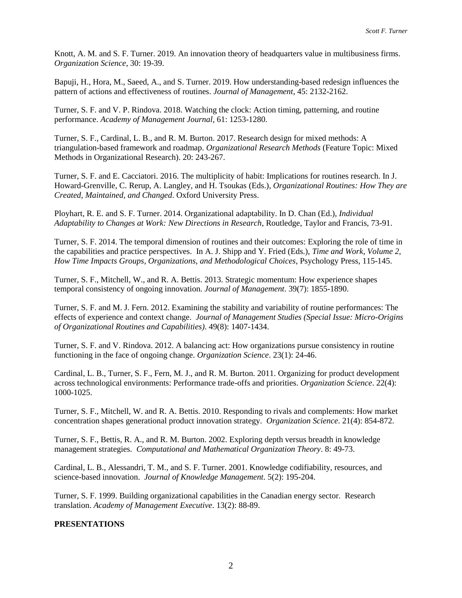Knott, A. M. and S. F. Turner. 2019. An innovation theory of headquarters value in multibusiness firms. *Organization Science*, 30: 19-39.

Bapuji, H., Hora, M., Saeed, A., and S. Turner. 2019. How understanding-based redesign influences the pattern of actions and effectiveness of routines. *Journal of Management*, 45: 2132-2162.

Turner, S. F. and V. P. Rindova. 2018. Watching the clock: Action timing, patterning, and routine performance. *Academy of Management Journal*, 61: 1253-1280.

Turner, S. F., Cardinal, L. B., and R. M. Burton. 2017. Research design for mixed methods: A triangulation-based framework and roadmap. *Organizational Research Methods* (Feature Topic: Mixed Methods in Organizational Research). 20: 243-267.

Turner, S. F. and E. Cacciatori. 2016. The multiplicity of habit: Implications for routines research. In J. Howard-Grenville, C. Rerup, A. Langley, and H. Tsoukas (Eds.), *Organizational Routines: How They are Created, Maintained, and Changed*. Oxford University Press.

Ployhart, R. E. and S. F. Turner. 2014. Organizational adaptability. In D. Chan (Ed.), *Individual Adaptability to Changes at Work: New Directions in Research*, Routledge, Taylor and Francis, 73-91.

Turner, S. F. 2014. The temporal dimension of routines and their outcomes: Exploring the role of time in the capabilities and practice perspectives. In A. J. Shipp and Y. Fried (Eds.), *Time and Work*, *Volume 2, How Time Impacts Groups, Organizations, and Methodological Choices*, Psychology Press, 115-145.

Turner, S. F., Mitchell, W., and R. A. Bettis. 2013. Strategic momentum: How experience shapes temporal consistency of ongoing innovation. *Journal of Management*. 39(7): 1855-1890.

Turner, S. F. and M. J. Fern. 2012. Examining the stability and variability of routine performances: The effects of experience and context change. *Journal of Management Studies (Special Issue: Micro-Origins of Organizational Routines and Capabilities)*. 49(8): 1407-1434.

Turner, S. F. and V. Rindova. 2012. A balancing act: How organizations pursue consistency in routine functioning in the face of ongoing change. *Organization Science*. 23(1): 24-46.

Cardinal, L. B., Turner, S. F., Fern, M. J., and R. M. Burton. 2011. Organizing for product development across technological environments: Performance trade-offs and priorities. *Organization Science*. 22(4): 1000-1025.

Turner, S. F., Mitchell, W. and R. A. Bettis. 2010. Responding to rivals and complements: How market concentration shapes generational product innovation strategy. *Organization Science*. 21(4): 854-872.

Turner, S. F., Bettis, R. A., and R. M. Burton. 2002. Exploring depth versus breadth in knowledge management strategies. *Computational and Mathematical Organization Theory*. 8: 49-73.

Cardinal, L. B., Alessandri, T. M., and S. F. Turner. 2001. Knowledge codifiability, resources, and science-based innovation. *Journal of Knowledge Management*. 5(2): 195-204.

Turner, S. F. 1999. Building organizational capabilities in the Canadian energy sector. Research translation. *Academy of Management Executive*. 13(2): 88-89.

#### **PRESENTATIONS**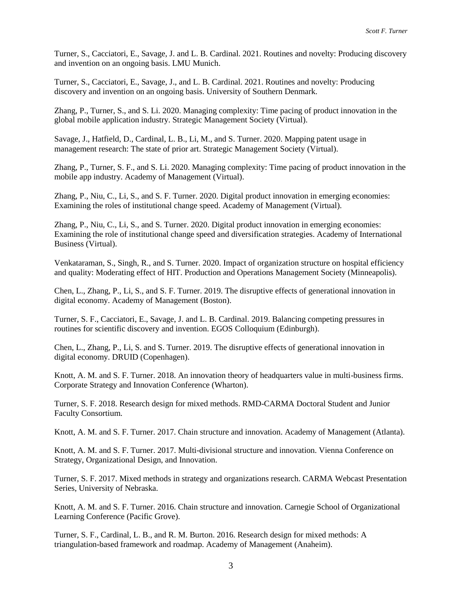Turner, S., Cacciatori, E., Savage, J. and L. B. Cardinal. 2021. Routines and novelty: Producing discovery and invention on an ongoing basis. LMU Munich.

Turner, S., Cacciatori, E., Savage, J., and L. B. Cardinal. 2021. Routines and novelty: Producing discovery and invention on an ongoing basis. University of Southern Denmark.

Zhang, P., Turner, S., and S. Li. 2020. Managing complexity: Time pacing of product innovation in the global mobile application industry. Strategic Management Society (Virtual).

Savage, J., Hatfield, D., Cardinal, L. B., Li, M., and S. Turner. 2020. Mapping patent usage in management research: The state of prior art. Strategic Management Society (Virtual).

Zhang, P., Turner, S. F., and S. Li. 2020. Managing complexity: Time pacing of product innovation in the mobile app industry. Academy of Management (Virtual).

Zhang, P., Niu, C., Li, S., and S. F. Turner. 2020. Digital product innovation in emerging economies: Examining the roles of institutional change speed. Academy of Management (Virtual).

Zhang, P., Niu, C., Li, S., and S. Turner. 2020. Digital product innovation in emerging economies: Examining the role of institutional change speed and diversification strategies. Academy of International Business (Virtual).

Venkataraman, S., Singh, R., and S. Turner. 2020. Impact of organization structure on hospital efficiency and quality: Moderating effect of HIT. Production and Operations Management Society (Minneapolis).

Chen, L., Zhang, P., Li, S., and S. F. Turner. 2019. The disruptive effects of generational innovation in digital economy. Academy of Management (Boston).

Turner, S. F., Cacciatori, E., Savage, J. and L. B. Cardinal. 2019. Balancing competing pressures in routines for scientific discovery and invention. EGOS Colloquium (Edinburgh).

Chen, L., Zhang, P., Li, S. and S. Turner. 2019. The disruptive effects of generational innovation in digital economy. DRUID (Copenhagen).

Knott, A. M. and S. F. Turner. 2018. An innovation theory of headquarters value in multi-business firms. Corporate Strategy and Innovation Conference (Wharton).

Turner, S. F. 2018. Research design for mixed methods. RMD-CARMA Doctoral Student and Junior Faculty Consortium.

Knott, A. M. and S. F. Turner. 2017. Chain structure and innovation. Academy of Management (Atlanta).

Knott, A. M. and S. F. Turner. 2017. Multi-divisional structure and innovation. Vienna Conference on Strategy, Organizational Design, and Innovation.

Turner, S. F. 2017. Mixed methods in strategy and organizations research. CARMA Webcast Presentation Series, University of Nebraska.

Knott, A. M. and S. F. Turner. 2016. Chain structure and innovation. Carnegie School of Organizational Learning Conference (Pacific Grove).

Turner, S. F., Cardinal, L. B., and R. M. Burton. 2016. Research design for mixed methods: A triangulation-based framework and roadmap. Academy of Management (Anaheim).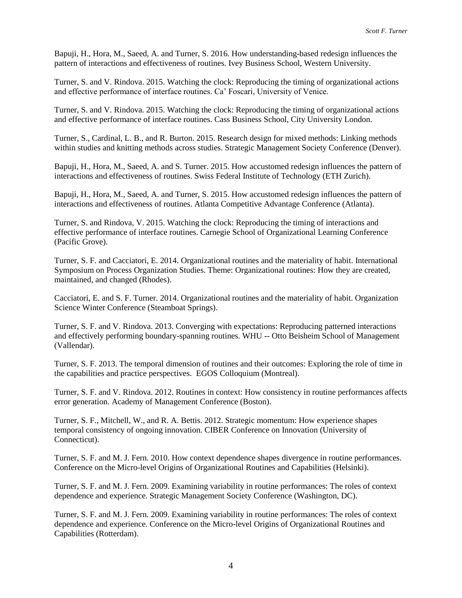Bapuji, H., Hora, M., Saeed, A. and Turner, S. 2016. How understanding-based redesign influences the pattern of interactions and effectiveness of routines. Ivey Business School, Western University.

Turner, S. and V. Rindova. 2015. Watching the clock: Reproducing the timing of organizational actions and effective performance of interface routines. Ca' Foscari, University of Venice.

Turner, S. and V. Rindova. 2015. Watching the clock: Reproducing the timing of organizational actions and effective performance of interface routines. Cass Business School, City University London.

Turner, S., Cardinal, L. B., and R. Burton. 2015. Research design for mixed methods: Linking methods within studies and knitting methods across studies. Strategic Management Society Conference (Denver).

Bapuji, H., Hora, M., Saeed, A. and S. Turner. 2015. How accustomed redesign influences the pattern of interactions and effectiveness of routines. Swiss Federal Institute of Technology (ETH Zurich).

Bapuji, H., Hora, M., Saeed, A. and Turner, S. 2015. How accustomed redesign influences the pattern of interactions and effectiveness of routines. Atlanta Competitive Advantage Conference (Atlanta).

Turner, S. and Rindova, V. 2015. Watching the clock: Reproducing the timing of interactions and effective performance of interface routines. Carnegie School of Organizational Learning Conference (Pacific Grove).

Turner, S. F. and Cacciatori, E. 2014. Organizational routines and the materiality of habit. International Symposium on Process Organization Studies. Theme: Organizational routines: How they are created, maintained, and changed (Rhodes).

Cacciatori, E. and S. F. Turner. 2014. Organizational routines and the materiality of habit. Organization Science Winter Conference (Steamboat Springs).

Turner, S. F. and V. Rindova. 2013. Converging with expectations: Reproducing patterned interactions and effectively performing boundary-spanning routines. WHU -- Otto Beisheim School of Management (Vallendar).

Turner, S. F. 2013. The temporal dimension of routines and their outcomes: Exploring the role of time in the capabilities and practice perspectives. EGOS Colloquium (Montreal).

Turner, S. F. and V. Rindova. 2012. Routines in context: How consistency in routine performances affects error generation. Academy of Management Conference (Boston).

Turner, S. F., Mitchell, W., and R. A. Bettis. 2012. Strategic momentum: How experience shapes temporal consistency of ongoing innovation. CIBER Conference on Innovation (University of Connecticut).

Turner, S. F. and M. J. Fern. 2010. How context dependence shapes divergence in routine performances. Conference on the Micro-level Origins of Organizational Routines and Capabilities (Helsinki).

Turner, S. F. and M. J. Fern. 2009. Examining variability in routine performances: The roles of context dependence and experience. Strategic Management Society Conference (Washington, DC).

Turner, S. F. and M. J. Fern. 2009. Examining variability in routine performances: The roles of context dependence and experience. Conference on the Micro-level Origins of Organizational Routines and Capabilities (Rotterdam).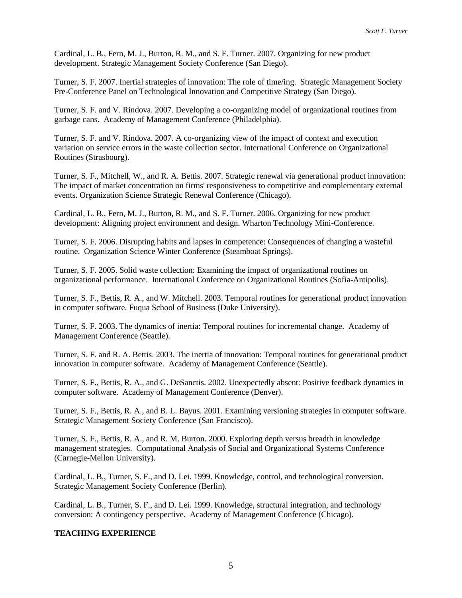Cardinal, L. B., Fern, M. J., Burton, R. M., and S. F. Turner. 2007. Organizing for new product development. Strategic Management Society Conference (San Diego).

Turner, S. F. 2007. Inertial strategies of innovation: The role of time/ing. Strategic Management Society Pre-Conference Panel on Technological Innovation and Competitive Strategy (San Diego).

Turner, S. F. and V. Rindova. 2007. Developing a co-organizing model of organizational routines from garbage cans. Academy of Management Conference (Philadelphia).

Turner, S. F. and V. Rindova. 2007. A co-organizing view of the impact of context and execution variation on service errors in the waste collection sector. International Conference on Organizational Routines (Strasbourg).

Turner, S. F., Mitchell, W., and R. A. Bettis. 2007. Strategic renewal via generational product innovation: The impact of market concentration on firms' responsiveness to competitive and complementary external events. Organization Science Strategic Renewal Conference (Chicago).

Cardinal, L. B., Fern, M. J., Burton, R. M., and S. F. Turner. 2006. Organizing for new product development: Aligning project environment and design. Wharton Technology Mini-Conference.

Turner, S. F. 2006. Disrupting habits and lapses in competence: Consequences of changing a wasteful routine. Organization Science Winter Conference (Steamboat Springs).

Turner, S. F. 2005. Solid waste collection: Examining the impact of organizational routines on organizational performance. International Conference on Organizational Routines (Sofia-Antipolis).

Turner, S. F., Bettis, R. A., and W. Mitchell. 2003. Temporal routines for generational product innovation in computer software. Fuqua School of Business (Duke University).

Turner, S. F. 2003. The dynamics of inertia: Temporal routines for incremental change. Academy of Management Conference (Seattle).

Turner, S. F. and R. A. Bettis. 2003. The inertia of innovation: Temporal routines for generational product innovation in computer software. Academy of Management Conference (Seattle).

Turner, S. F., Bettis, R. A., and G. DeSanctis. 2002. Unexpectedly absent: Positive feedback dynamics in computer software. Academy of Management Conference (Denver).

Turner, S. F., Bettis, R. A., and B. L. Bayus. 2001. Examining versioning strategies in computer software. Strategic Management Society Conference (San Francisco).

Turner, S. F., Bettis, R. A., and R. M. Burton. 2000. Exploring depth versus breadth in knowledge management strategies. Computational Analysis of Social and Organizational Systems Conference (Carnegie-Mellon University).

Cardinal, L. B., Turner, S. F., and D. Lei. 1999. Knowledge, control, and technological conversion. Strategic Management Society Conference (Berlin).

Cardinal, L. B., Turner, S. F., and D. Lei. 1999. Knowledge, structural integration, and technology conversion: A contingency perspective. Academy of Management Conference (Chicago).

#### **TEACHING EXPERIENCE**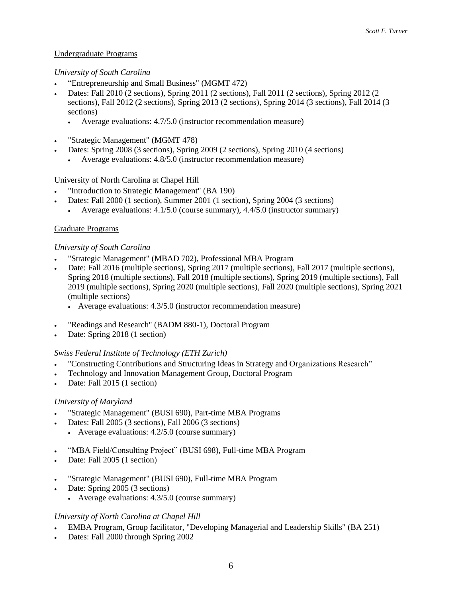# Undergraduate Programs

### *University of South Carolina*

- "Entrepreneurship and Small Business" (MGMT 472)
- Dates: Fall 2010 (2 sections), Spring 2011 (2 sections), Fall 2011 (2 sections), Spring 2012 (2 sections), Fall 2012 (2 sections), Spring 2013 (2 sections), Spring 2014 (3 sections), Fall 2014 (3 sections)
	- Average evaluations: 4.7/5.0 (instructor recommendation measure)
- "Strategic Management" (MGMT 478)
- Dates: Spring 2008 (3 sections), Spring 2009 (2 sections), Spring 2010 (4 sections)
	- Average evaluations: 4.8/5.0 (instructor recommendation measure)

### University of North Carolina at Chapel Hill

- "Introduction to Strategic Management" (BA 190)
- Dates: Fall 2000 (1 section), Summer 2001 (1 section), Spring 2004 (3 sections)
	- Average evaluations: 4.1/5.0 (course summary), 4.4/5.0 (instructor summary)

### Graduate Programs

#### *University of South Carolina*

- "Strategic Management" (MBAD 702), Professional MBA Program
- Date: Fall 2016 (multiple sections), Spring 2017 (multiple sections), Fall 2017 (multiple sections), Spring 2018 (multiple sections), Fall 2018 (multiple sections), Spring 2019 (multiple sections), Fall 2019 (multiple sections), Spring 2020 (multiple sections), Fall 2020 (multiple sections), Spring 2021 (multiple sections)
	- Average evaluations: 4.3/5.0 (instructor recommendation measure)
- "Readings and Research" (BADM 880-1), Doctoral Program
- Date: Spring 2018 (1 section)

#### *Swiss Federal Institute of Technology (ETH Zurich)*

- "Constructing Contributions and Structuring Ideas in Strategy and Organizations Research"
- Technology and Innovation Management Group, Doctoral Program
- Date: Fall 2015 (1 section)

#### *University of Maryland*

- "Strategic Management" (BUSI 690), Part-time MBA Programs
- Dates: Fall 2005 (3 sections), Fall 2006 (3 sections) Average evaluations: 4.2/5.0 (course summary)
- "MBA Field/Consulting Project" (BUSI 698), Full-time MBA Program
- Date: Fall 2005 (1 section)
- "Strategic Management" (BUSI 690), Full-time MBA Program
- Date: Spring 2005 (3 sections)
	- Average evaluations: 4.3/5.0 (course summary)

#### *University of North Carolina at Chapel Hill*

- EMBA Program, Group facilitator, "Developing Managerial and Leadership Skills" (BA 251)
- Dates: Fall 2000 through Spring 2002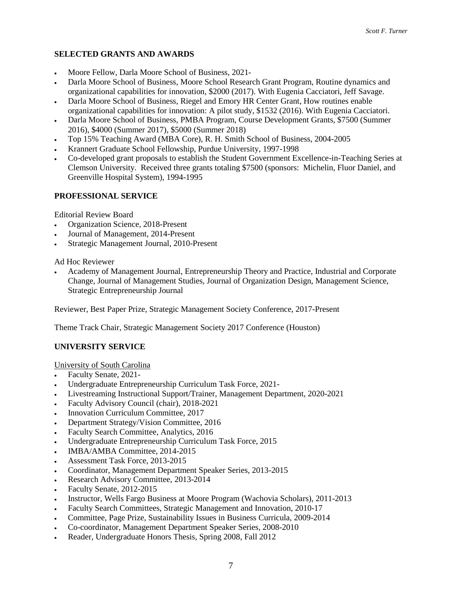# **SELECTED GRANTS AND AWARDS**

- Moore Fellow, Darla Moore School of Business, 2021-
- Darla Moore School of Business, Moore School Research Grant Program, Routine dynamics and organizational capabilities for innovation, \$2000 (2017). With Eugenia Cacciatori, Jeff Savage.
- Darla Moore School of Business, Riegel and Emory HR Center Grant, How routines enable organizational capabilities for innovation: A pilot study, \$1532 (2016). With Eugenia Cacciatori.
- Darla Moore School of Business, PMBA Program, Course Development Grants, \$7500 (Summer 2016), \$4000 (Summer 2017), \$5000 (Summer 2018)
- Top 15% Teaching Award (MBA Core), R. H. Smith School of Business, 2004-2005
- Krannert Graduate School Fellowship, Purdue University, 1997-1998
- Co-developed grant proposals to establish the Student Government Excellence-in-Teaching Series at Clemson University. Received three grants totaling \$7500 (sponsors: Michelin, Fluor Daniel, and Greenville Hospital System), 1994-1995

# **PROFESSIONAL SERVICE**

Editorial Review Board

- Organization Science, 2018-Present
- Journal of Management, 2014-Present
- Strategic Management Journal, 2010-Present

Ad Hoc Reviewer

 Academy of Management Journal, Entrepreneurship Theory and Practice, Industrial and Corporate Change, Journal of Management Studies, Journal of Organization Design, Management Science, Strategic Entrepreneurship Journal

Reviewer, Best Paper Prize, Strategic Management Society Conference, 2017-Present

Theme Track Chair, Strategic Management Society 2017 Conference (Houston)

# **UNIVERSITY SERVICE**

University of South Carolina

- Faculty Senate, 2021-
- Undergraduate Entrepreneurship Curriculum Task Force, 2021-
- Livestreaming Instructional Support/Trainer, Management Department, 2020-2021
- Faculty Advisory Council (chair), 2018-2021
- Innovation Curriculum Committee, 2017
- Department Strategy/Vision Committee, 2016
- Faculty Search Committee, Analytics, 2016
- Undergraduate Entrepreneurship Curriculum Task Force, 2015
- IMBA/AMBA Committee, 2014-2015
- Assessment Task Force, 2013-2015
- Coordinator, Management Department Speaker Series, 2013-2015
- Research Advisory Committee, 2013-2014
- Faculty Senate, 2012-2015
- Instructor, Wells Fargo Business at Moore Program (Wachovia Scholars), 2011-2013
- Faculty Search Committees, Strategic Management and Innovation, 2010-17
- Committee, Page Prize, Sustainability Issues in Business Curricula, 2009-2014
- Co-coordinator, Management Department Speaker Series, 2008-2010
- Reader, Undergraduate Honors Thesis, Spring 2008, Fall 2012